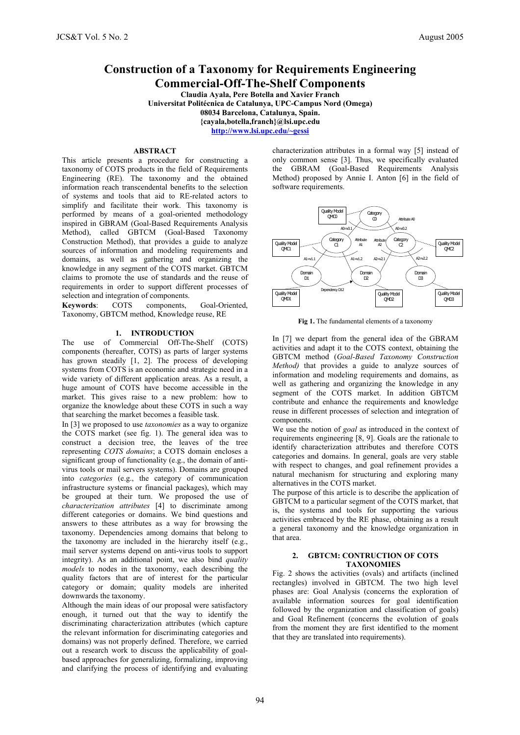# **Construction of a Taxonomy for Requirements Engineering Commercial-Off-The-Shelf Components**

**Claudia Ayala, Pere Botella and Xavier Franch Universitat Politécnica de Catalunya, UPC-Campus Nord (Omega) 08034 Barcelona, Catalunya, Spain. {cayala,botella,franch}@lsi.upc.edu http://www.lsi.upc.edu/~gessi**

# **ABSTRACT**

This article presents a procedure for constructing a taxonomy of COTS products in the field of Requirements Engineering (RE). The taxonomy and the obtained information reach transcendental benefits to the selection of systems and tools that aid to RE-related actors to simplify and facilitate their work. This taxonomy is performed by means of a goal-oriented methodology inspired in GBRAM (Goal-Based Requirements Analysis Method), called GBTCM (Goal-Based Taxonomy Construction Method), that provides a guide to analyze sources of information and modeling requirements and domains, as well as gathering and organizing the knowledge in any segment of the COTS market. GBTCM claims to promote the use of standards and the reuse of requirements in order to support different processes of selection and integration of components.<br> **Keywords:** COTS components.

**Keywords**: COTS components, Goal-Oriented, Taxonomy, GBTCM method, Knowledge reuse, RE

### **1. INTRODUCTION**

The use of Commercial Off-The-Shelf (COTS) components (hereafter, COTS) as parts of larger systems has grown steadily [1, 2]. The process of developing systems from COTS is an economic and strategic need in a wide variety of different application areas. As a result, a huge amount of COTS have become accessible in the market. This gives raise to a new problem: how to organize the knowledge about these COTS in such a way that searching the market becomes a feasible task.

In [3] we proposed to use *taxonomies* as a way to organize the COTS market (see fig. 1). The general idea was to construct a decision tree, the leaves of the tree representing *COTS domains*; a COTS domain encloses a significant group of functionality (e.g., the domain of antivirus tools or mail servers systems). Domains are grouped into *categories* (e.g., the category of communication infrastructure systems or financial packages), which may be grouped at their turn. We proposed the use of *characterization attributes* [4] to discriminate among different categories or domains. We bind questions and answers to these attributes as a way for browsing the taxonomy. Dependencies among domains that belong to the taxonomy are included in the hierarchy itself (e.g., mail server systems depend on anti-virus tools to support integrity). As an additional point, we also bind *quality models* to nodes in the taxonomy, each describing the quality factors that are of interest for the particular category or domain; quality models are inherited downwards the taxonomy.

Although the main ideas of our proposal were satisfactory enough, it turned out that the way to identify the discriminating characterization attributes (which capture the relevant information for discriminating categories and domains) was not properly defined. Therefore, we carried out a research work to discuss the applicability of goalbased approaches for generalizing, formalizing, improving and clarifying the process of identifying and evaluating characterization attributes in a formal way [5] instead of only common sense [3]. Thus, we specifically evaluated the GBRAM (Goal-Based Requirements Analysis Method) proposed by Annie I. Anton [6] in the field of software requirements.



**Fig 1.** The fundamental elements of a taxonomy

In [7] we depart from the general idea of the GBRAM activities and adapt it to the COTS context, obtaining the GBTCM method (*Goal-Based Taxonomy Construction Method)* that provides a guide to analyze sources of information and modeling requirements and domains, as well as gathering and organizing the knowledge in any segment of the COTS market. In addition GBTCM contribute and enhance the requirements and knowledge reuse in different processes of selection and integration of components.

We use the notion of *goal* as introduced in the context of requirements engineering [8, 9]. Goals are the rationale to identify characterization attributes and therefore COTS categories and domains. In general, goals are very stable with respect to changes, and goal refinement provides a natural mechanism for structuring and exploring many alternatives in the COTS market.

The purpose of this article is to describe the application of GBTCM to a particular segment of the COTS market, that is, the systems and tools for supporting the various activities embraced by the RE phase, obtaining as a result a general taxonomy and the knowledge organization in that area.

### **2. GBTCM: CONTRUCTION OF COTS TAXONOMIES**

Fig. 2 shows the activities (ovals) and artifacts (inclined rectangles) involved in GBTCM. The two high level phases are: Goal Analysis (concerns the exploration of available information sources for goal identification followed by the organization and classification of goals) and Goal Refinement (concerns the evolution of goals from the moment they are first identified to the moment that they are translated into requirements).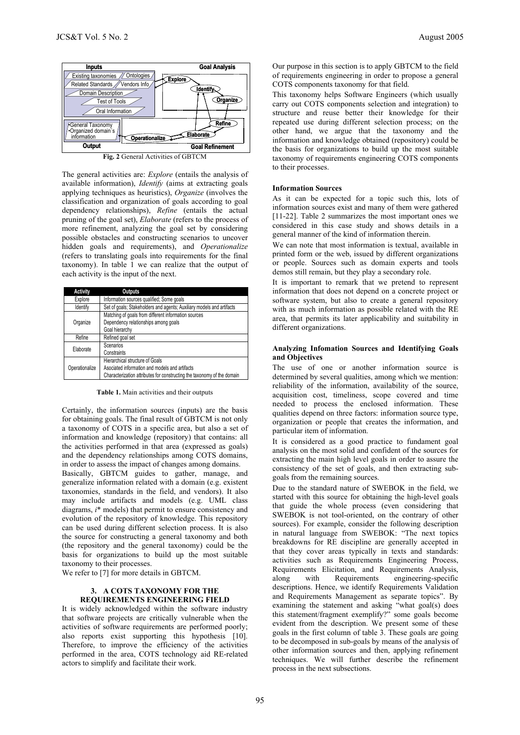

**Fig. 2** General Activities of GBTCM

The general activities are: *Explore* (entails the analysis of available information), *Identify* (aims at extracting goals applying techniques as heuristics), *Organize* (involves the classification and organization of goals according to goal dependency relationships), *Refine* (entails the actual pruning of the goal set), *Elaborate* (refers to the process of more refinement, analyzing the goal set by considering possible obstacles and constructing scenarios to uncover hidden goals and requirements), and *Operationalize* (refers to translating goals into requirements for the final taxonomy). In table 1 we can realize that the output of each activity is the input of the next.

| <b>Activity</b> | <b>Outputs</b>                                                          |  |  |
|-----------------|-------------------------------------------------------------------------|--|--|
| Explore         | Information sources qualified; Some goals                               |  |  |
| Identify        | Set of goals; Stakeholders and agents; Auxiliary models and artifacts   |  |  |
|                 | Matching of goals from different information sources                    |  |  |
| Organize        | Dependency relationships among goals                                    |  |  |
|                 | Goal hierarchy                                                          |  |  |
| Refine          | Refined goal set                                                        |  |  |
| Elaborate       | Scenarios                                                               |  |  |
|                 | Constraints                                                             |  |  |
|                 | Hierarchical structure of Goals                                         |  |  |
| Operationalize  | Asociated information and models and artifacts                          |  |  |
|                 | Characterization attributes for constructing the taxonomy of the domain |  |  |

**Table 1.** Main activities and their outputs

Certainly, the information sources (inputs) are the basis for obtaining goals. The final result of GBTCM is not only a taxonomy of COTS in a specific area, but also a set of information and knowledge (repository) that contains: all the activities performed in that area (expressed as goals) and the dependency relationships among COTS domains, in order to assess the impact of changes among domains.

Basically, GBTCM guides to gather, manage, and generalize information related with a domain (e.g. existent taxonomies, standards in the field, and vendors). It also may include artifacts and models (e.g. UML class diagrams, *i*\* models) that permit to ensure consistency and evolution of the repository of knowledge. This repository can be used during different selection process. It is also the source for constructing a general taxonomy and both (the repository and the general taxonomy) could be the basis for organizations to build up the most suitable taxonomy to their processes.

We refer to [7] for more details in GBTCM.

### **3. A COTS TAXONOMY FOR THE REQUIREMENTS ENGINEERING FIELD**

It is widely acknowledged within the software industry that software projects are critically vulnerable when the activities of software requirements are performed poorly; also reports exist supporting this hypothesis [10]. Therefore, to improve the efficiency of the activities performed in the area, COTS technology aid RE-related actors to simplify and facilitate their work.

Our purpose in this section is to apply GBTCM to the field of requirements engineering in order to propose a general COTS components taxonomy for that field.

This taxonomy helps Software Engineers (which usually carry out COTS components selection and integration) to structure and reuse better their knowledge for their repeated use during different selection process; on the other hand, we argue that the taxonomy and the information and knowledge obtained (repository) could be the basis for organizations to build up the most suitable taxonomy of requirements engineering COTS components to their processes.

#### **Information Sources**

As it can be expected for a topic such this, lots of information sources exist and many of them were gathered [11-22]. Table 2 summarizes the most important ones we considered in this case study and shows details in a general manner of the kind of information therein.

We can note that most information is textual, available in printed form or the web, issued by different organizations or people. Sources such as domain experts and tools demos still remain, but they play a secondary role.

It is important to remark that we pretend to represent information that does not depend on a concrete project or software system, but also to create a general repository with as much information as possible related with the RE area, that permits its later applicability and suitability in different organizations.

### **Analyzing Infomation Sources and Identifying Goals and Objectives**

The use of one or another information source is determined by several qualities, among which we mention: reliability of the information, availability of the source, acquisition cost, timeliness, scope covered and time needed to process the enclosed information. These qualities depend on three factors: information source type, organization or people that creates the information, and particular item of information.

It is considered as a good practice to fundament goal analysis on the most solid and confident of the sources for extracting the main high level goals in order to assure the consistency of the set of goals, and then extracting subgoals from the remaining sources.

Due to the standard nature of SWEBOK in the field, we started with this source for obtaining the high-level goals that guide the whole process (even considering that SWEBOK is not tool-oriented, on the contrary of other sources). For example, consider the following description in natural language from SWEBOK: "The next topics breakdowns for RE discipline are generally accepted in that they cover areas typically in texts and standards: activities such as Requirements Engineering Process, Requirements Elicitation, and Requirements Analysis, along with Requirements engineering-specific along with Requirements engineering-specific descriptions. Hence, we identify Requirements Validation and Requirements Management as separate topics". By examining the statement and asking "what goal(s) does this statement/fragment exemplify?" some goals become evident from the description. We present some of these goals in the first column of table 3. These goals are going to be decomposed in sub-goals by means of the analysis of other information sources and then, applying refinement techniques. We will further describe the refinement process in the next subsections.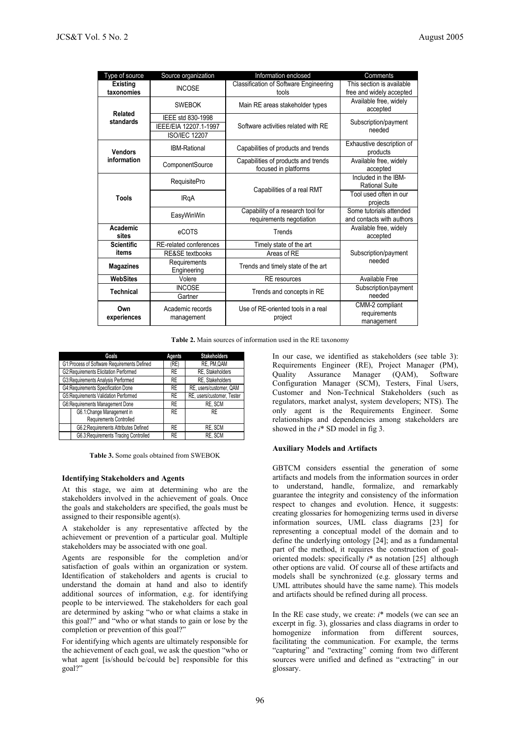| Type of source                | Source organization                                                | Information enclosed                                          | Comments                                              |  |
|-------------------------------|--------------------------------------------------------------------|---------------------------------------------------------------|-------------------------------------------------------|--|
| <b>Existing</b><br>taxonomies | <b>INCOSE</b>                                                      | Classification of Software Engineering<br>tools               | This section is available<br>free and widely accepted |  |
| Related                       | <b>SWEBOK</b>                                                      | Main RE areas stakeholder types                               | Available free, widely<br>accepted                    |  |
| standards                     | IEEE std 830-1998<br>IEEE/EIA 12207.1-1997<br><b>ISO/IEC 12207</b> | Software activities related with RE                           | Subscription/payment<br>needed                        |  |
| <b>Vendors</b>                | <b>IBM-Rational</b>                                                | Capabilities of products and trends                           | Exhaustive description of<br>products                 |  |
| information                   | ComponentSource                                                    | Capabilities of products and trends<br>focused in platforms   | Available free, widely<br>accepted                    |  |
| Tools                         | <b>RequisitePro</b>                                                | Capabilities of a real RMT                                    | Included in the IBM-<br><b>Rational Suite</b>         |  |
|                               | <b>IRgA</b>                                                        |                                                               | Tool used often in our<br>projects                    |  |
|                               | EasyWinWin                                                         | Capability of a research tool for<br>requirements negotiation | Some tutorials attended<br>and contacts with authors  |  |
| Academic<br>sites             | eCOTS                                                              | Trends                                                        | Available free, widely<br>accepted                    |  |
| <b>Scientific</b>             | RE-related conferences                                             | Timely state of the art                                       |                                                       |  |
| items                         | <b>RE&amp;SE</b> textbooks                                         | Areas of RE                                                   | Subscription/payment                                  |  |
| <b>Magazines</b>              | Requirements<br>Engineering                                        | Trends and timely state of the art                            | needed                                                |  |
| <b>WebSites</b>               | Volere                                                             | <b>RE</b> resources                                           | Available Free                                        |  |
| <b>Technical</b>              | <b>INCOSE</b><br>Gartner                                           | Trends and concepts in RE                                     | Subscription/payment<br>needed                        |  |
| Own<br>experiences            | Academic records<br>management                                     | Use of RE-oriented tools in a real<br>project                 | CMM-2 compliant<br>requirements<br>management         |  |

**Table 2.** Main sources of information used in the RE taxonomy

| Goals                                       | Agents    | <b>Stakeholders</b>        |
|---------------------------------------------|-----------|----------------------------|
| G1:Process of Software Requirements Defined | (RE)      | RE, PM, QAM                |
| G2:Requirements Elicitation Performed       | <b>RE</b> | RE. Stakeholders           |
| G3:Requirements Analysis Performed          | <b>RE</b> | RE. Stakeholders           |
| G4:Requirements Specification Done          | <b>RE</b> | RE, users/customer, QAM    |
| G5:Requirements Validation Performed        | <b>RE</b> | RE, users/customer, Tester |
| G6:Requirements Management Done             | <b>RE</b> | RE, SCM                    |
| G6.1:Change Management in                   | <b>RE</b> | <b>RE</b>                  |
| Requirements Controlled                     |           |                            |
| G6.2:Requirements Attributes Defined        | <b>RE</b> | RE, SCM                    |
| G6.3:Requirements Tracing Controlled        | <b>RE</b> | RE. SCM                    |

| <b>Table 3.</b> Some goals obtained from SWEBOK |  |  |  |  |  |
|-------------------------------------------------|--|--|--|--|--|
|-------------------------------------------------|--|--|--|--|--|

### **Identifying Stakeholders and Agents**

At this stage, we aim at determining who are the stakeholders involved in the achievement of goals. Once the goals and stakeholders are specified, the goals must be assigned to their responsible agent(s).

A stakeholder is any representative affected by the achievement or prevention of a particular goal. Multiple stakeholders may be associated with one goal.

Agents are responsible for the completion and/or satisfaction of goals within an organization or system. Identification of stakeholders and agents is crucial to understand the domain at hand and also to identify additional sources of information, e.g. for identifying people to be interviewed. The stakeholders for each goal are determined by asking "who or what claims a stake in this goal?" and "who or what stands to gain or lose by the completion or prevention of this goal?"

For identifying which agents are ultimately responsible for the achievement of each goal, we ask the question "who or what agent [is/should be/could be] responsible for this goal?"

In our case, we identified as stakeholders (see table 3): Requirements Engineer (RE), Project Manager (PM), Quality Assurance Manager (QAM), Software Configuration Manager (SCM), Testers, Final Users, Customer and Non-Technical Stakeholders (such as regulators, market analyst, system developers; NTS). The only agent is the Requirements Engineer. Some relationships and dependencies among stakeholders are showed in the *i*\* SD model in fig 3.

# **Auxiliary Models and Artifacts**

GBTCM considers essential the generation of some artifacts and models from the information sources in order to understand, handle, formalize, and remarkably guarantee the integrity and consistency of the information respect to changes and evolution. Hence, it suggests: creating glossaries for homogenizing terms used in diverse information sources, UML class diagrams [23] for representing a conceptual model of the domain and to define the underlying ontology [24]; and as a fundamental part of the method, it requires the construction of goaloriented models: specifically *i*\* as notation [25] although other options are valid. Of course all of these artifacts and models shall be synchronized (e.g. glossary terms and UML attributes should have the same name). This models and artifacts should be refined during all process.

In the RE case study, we create: *i*\* models (we can see an excerpt in fig. 3), glossaries and class diagrams in order to homogenize information from different sources, facilitating the communication. For example, the terms "capturing" and "extracting" coming from two different sources were unified and defined as "extracting" in our glossary.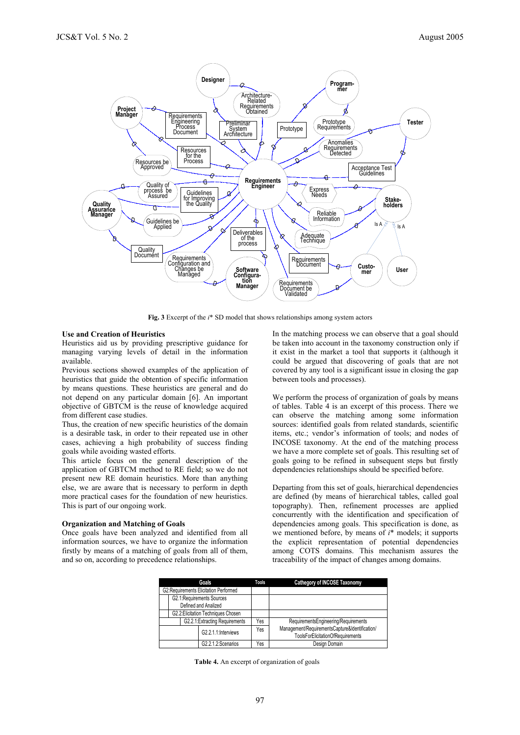

**Fig. 3** Excerpt of the *i*\* SD model that shows relationships among system actors

### **Use and Creation of Heuristics**

Heuristics aid us by providing prescriptive guidance for managing varying levels of detail in the information available.

Previous sections showed examples of the application of heuristics that guide the obtention of specific information by means questions. These heuristics are general and do not depend on any particular domain [6]. An important objective of GBTCM is the reuse of knowledge acquired from different case studies.

Thus, the creation of new specific heuristics of the domain is a desirable task, in order to their repeated use in other cases, achieving a high probability of success finding goals while avoiding wasted efforts.

This article focus on the general description of the application of GBTCM method to RE field; so we do not present new RE domain heuristics. More than anything else, we are aware that is necessary to perform in depth more practical cases for the foundation of new heuristics. This is part of our ongoing work.

#### **Organization and Matching of Goals**

Once goals have been analyzed and identified from all information sources, we have to organize the information firstly by means of a matching of goals from all of them, and so on, according to precedence relationships.

In the matching process we can observe that a goal should be taken into account in the taxonomy construction only if it exist in the market a tool that supports it (although it could be argued that discovering of goals that are not covered by any tool is a significant issue in closing the gap between tools and processes).

We perform the process of organization of goals by means of tables. Table 4 is an excerpt of this process. There we can observe the matching among some information sources: identified goals from related standards, scientific items, etc.; vendor's information of tools; and nodes of INCOSE taxonomy. At the end of the matching process we have a more complete set of goals. This resulting set of goals going to be refined in subsequent steps but firstly dependencies relationships should be specified before.

Departing from this set of goals, hierarchical dependencies are defined (by means of hierarchical tables, called goal topography). Then, refinement processes are applied concurrently with the identification and specification of dependencies among goals. This specification is done, as we mentioned before, by means of *i*\* models; it supports the explicit representation of potential dependencies among COTS domains. This mechanism assures the traceability of the impact of changes among domains.

| Goals                                  |                     | <b>Tools</b> | Cathegory of INCOSE Taxonomy                                                        |
|----------------------------------------|---------------------|--------------|-------------------------------------------------------------------------------------|
| G2: Requirements Elicitation Performed |                     |              |                                                                                     |
| G2.1:Requirements Sources              |                     |              |                                                                                     |
| Defined and Analized                   |                     |              |                                                                                     |
| G2.2: Elicitation Techniques Chosen    |                     |              |                                                                                     |
| G2.2.1: Extracting Requirements        |                     | Yes          | RequirementsEngineering/Requirements                                                |
|                                        | G2.2.1.1:Interviews | Yes          | Management/RequirementsCapture&Identification/<br>ToolsForElicitationOfRequirements |
|                                        | G2.2.1.2:Scenarios  | Yes          | Design Domain                                                                       |

**Table 4.** An excerpt of organization of goals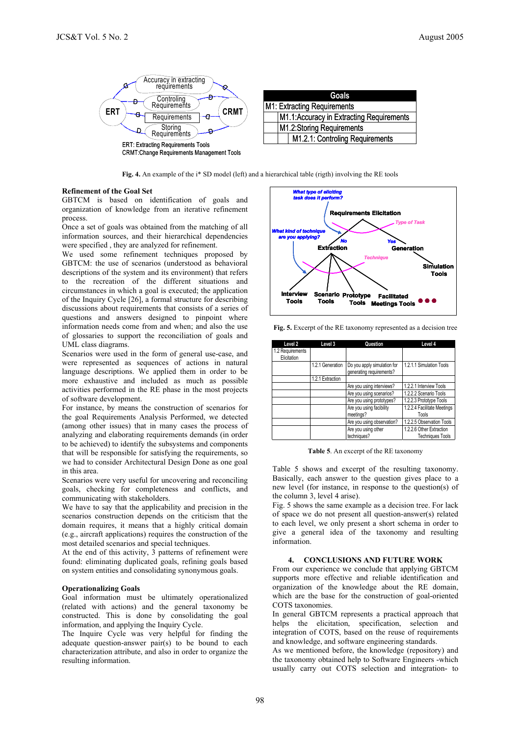

| Goals                                    |  |  |  |  |
|------------------------------------------|--|--|--|--|
| M1: Extracting Requirements              |  |  |  |  |
| M1.1:Accuracy in Extracting Requirements |  |  |  |  |
| M1.2:Storing Requirements                |  |  |  |  |
| M1.2.1: Controling Requirements          |  |  |  |  |

**Fig. 4.** An example of the i\* SD model (left) and a hierarchical table (rigth) involving the RE tools

### **Refinement of the Goal Set**

GBTCM is based on identification of goals and organization of knowledge from an iterative refinement process.

Once a set of goals was obtained from the matching of all information sources, and their hierarchical dependencies were specified , they are analyzed for refinement.

We used some refinement techniques proposed by GBTCM: the use of scenarios (understood as behavioral descriptions of the system and its environment) that refers to the recreation of the different situations and circumstances in which a goal is executed; the application of the Inquiry Cycle [26], a formal structure for describing discussions about requirements that consists of a series of questions and answers designed to pinpoint where information needs come from and when; and also the use of glossaries to support the reconciliation of goals and UML class diagrams.

Scenarios were used in the form of general use-case, and were represented as sequences of actions in natural language descriptions. We applied them in order to be more exhaustive and included as much as possible activities performed in the RE phase in the most projects of software development.

For instance, by means the construction of scenarios for the goal Requirements Analysis Performed, we detected (among other issues) that in many cases the process of analyzing and elaborating requirements demands (in order to be achieved) to identify the subsystems and components that will be responsible for satisfying the requirements, so we had to consider Architectural Design Done as one goal in this area.

Scenarios were very useful for uncovering and reconciling goals, checking for completeness and conflicts, and communicating with stakeholders.

We have to say that the applicability and precision in the scenarios construction depends on the criticism that the domain requires, it means that a highly critical domain (e.g., aircraft applications) requires the construction of the most detailed scenarios and special techniques.

At the end of this activity, 3 patterns of refinement were found: eliminating duplicated goals, refining goals based on system entities and consolidating synonymous goals.

### **Operationalizing Goals**

Goal information must be ultimately operationalized (related with actions) and the general taxonomy be constructed. This is done by consolidating the goal information, and applying the Inquiry Cycle.

The Inquire Cycle was very helpful for finding the adequate question-answer pair(s) to be bound to each characterization attribute, and also in order to organize the resulting information.



**Fig. 5.** Excerpt of the RE taxonomy represented as a decision tree

| Level 2          | Level 3          | Question                    | Level 4                     |
|------------------|------------------|-----------------------------|-----------------------------|
| 1.2 Requirements |                  |                             |                             |
| Elicitation      |                  |                             |                             |
|                  | 1.2.1 Generation | Do you apply simulation for | 1.2.1.1 Simulation Tools    |
|                  |                  | generating requirements?    |                             |
|                  | 1.2.1 Extraction |                             |                             |
|                  |                  | Are you using interviews?   | 1.2.2.1 Interview Tools     |
|                  |                  | Are you using scenarios?    | 1.2.2.2 Scenario Tools      |
|                  |                  | Are you using prototypes?   | 1.2.2.3 Prototype Tools     |
|                  |                  | Are you using facibility    | 1.2.2.4 Facilitate Meetings |
|                  |                  | meetings?                   | Tools                       |
|                  |                  | Are you using observation?  | 1.2.2.5 Observation Tools   |
|                  |                  | Are you using other         | 1.2.2.6 Other Extraction    |
|                  |                  | techniques?                 | <b>Techniques Tools</b>     |

**Table 5**. An excerpt of the RE taxonomy

Table 5 shows and excerpt of the resulting taxonomy. Basically, each answer to the question gives place to a new level (for instance, in response to the question(s) of the column 3, level 4 arise).

Fig. 5 shows the same example as a decision tree. For lack of space we do not present all question-answer(s) related to each level, we only present a short schema in order to give a general idea of the taxonomy and resulting information.

### **4. CONCLUSIONS AND FUTURE WORK**

From our experience we conclude that applying GBTCM supports more effective and reliable identification and organization of the knowledge about the RE domain, which are the base for the construction of goal-oriented COTS taxonomies.

In general GBTCM represents a practical approach that helps the elicitation, specification, selection and integration of COTS, based on the reuse of requirements and knowledge, and software engineering standards.

As we mentioned before, the knowledge (repository) and the taxonomy obtained help to Software Engineers -which usually carry out COTS selection and integration- to